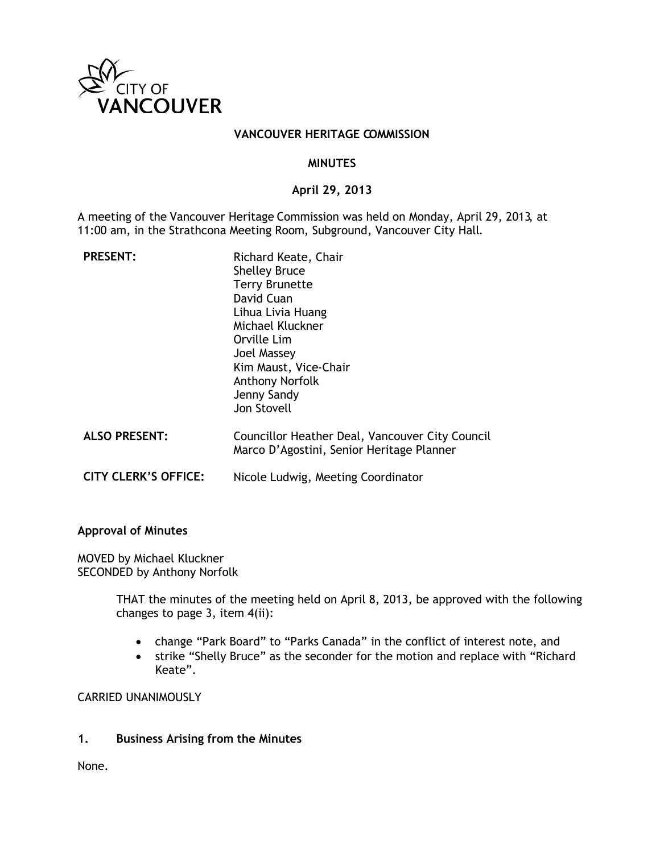

#### **VANCOUVER HERITAGE COMMISSION**

#### **MINUTES**

## **April 29, 2013**

A meeting of the Vancouver Heritage Commission was held on Monday, April 29, 2013, at 11:00 am, in the Strathcona Meeting Room, Subground, Vancouver City Hall.

| <b>PRESENT:</b>             | Richard Keate, Chair<br><b>Shelley Bruce</b><br><b>Terry Brunette</b><br>David Cuan<br>Lihua Livia Huang<br>Michael Kluckner<br>Orville Lim<br>Joel Massey<br>Kim Maust, Vice-Chair<br><b>Anthony Norfolk</b><br>Jenny Sandy<br>Jon Stovell |
|-----------------------------|---------------------------------------------------------------------------------------------------------------------------------------------------------------------------------------------------------------------------------------------|
| <b>ALSO PRESENT:</b>        | Councillor Heather Deal, Vancouver City Council<br>Marco D'Agostini, Senior Heritage Planner                                                                                                                                                |
| <b>CITY CLERK'S OFFICE:</b> | Nicole Ludwig, Meeting Coordinator                                                                                                                                                                                                          |

#### **Approval of Minutes**

MOVED by Michael Kluckner SECONDED by Anthony Norfolk

> THAT the minutes of the meeting held on April 8, 2013, be approved with the following changes to page 3, item 4(ii):

- change "Park Board" to "Parks Canada" in the conflict of interest note, and
- strike "Shelly Bruce" as the seconder for the motion and replace with "Richard Keate".

CARRIED UNANIMOUSLY

#### **1. Business Arising from the Minutes**

None.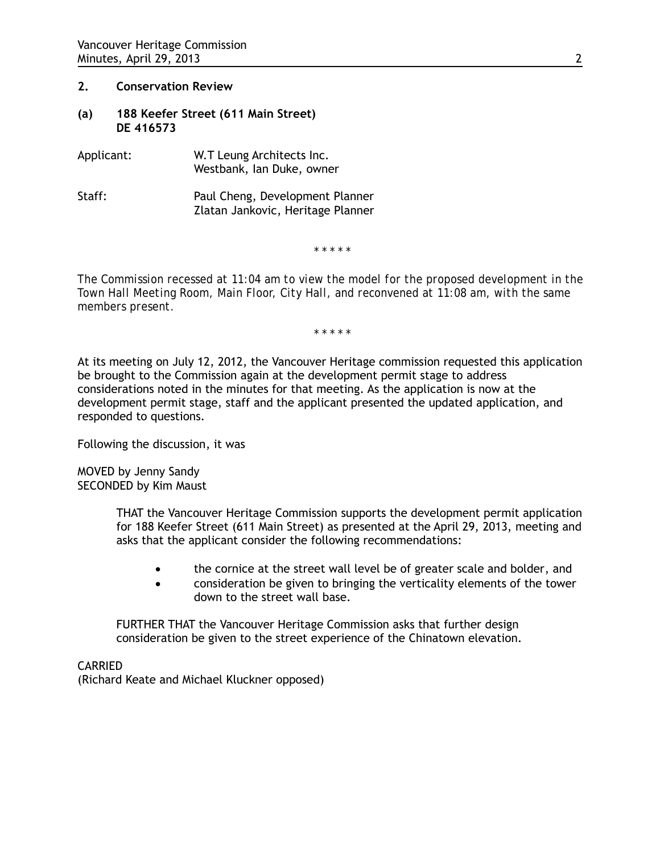#### **2. Conservation Review**

- **(a) 188 Keefer Street (611 Main Street) DE 416573**
- Applicant: W.T Leung Architects Inc. Westbank, Ian Duke, owner
- Staff: Paul Cheng, Development Planner Zlatan Jankovic, Heritage Planner

*\* \* \* \* \**

*The Commission recessed at 11:04 am to view the model for the proposed development in the Town Hall Meeting Room, Main Floor, City Hall, and reconvened at 11:08 am, with the same members present.* 

*\* \* \* \* \**

At its meeting on July 12, 2012, the Vancouver Heritage commission requested this application be brought to the Commission again at the development permit stage to address considerations noted in the minutes for that meeting. As the application is now at the development permit stage, staff and the applicant presented the updated application, and responded to questions.

Following the discussion, it was

MOVED by Jenny Sandy SECONDED by Kim Maust

> THAT the Vancouver Heritage Commission supports the development permit application for 188 Keefer Street (611 Main Street) as presented at the April 29, 2013, meeting and asks that the applicant consider the following recommendations:

- the cornice at the street wall level be of greater scale and bolder, and
- consideration be given to bringing the verticality elements of the tower down to the street wall base.

FURTHER THAT the Vancouver Heritage Commission asks that further design consideration be given to the street experience of the Chinatown elevation.

CARRIED (Richard Keate and Michael Kluckner opposed)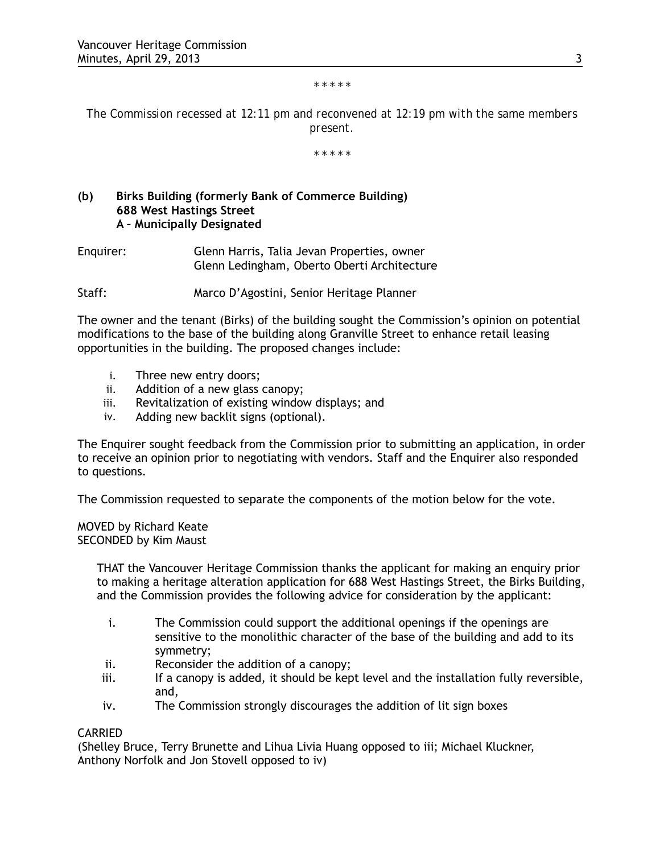#### *\* \* \* \* \**

*The Commission recessed at 12:11 pm and reconvened at 12:19 pm with the same members present.*

*\* \* \* \* \**

# **(b) Birks Building (formerly Bank of Commerce Building) 688 West Hastings Street A – Municipally Designated**

Enquirer: Glenn Harris, Talia Jevan Properties, owner Glenn Ledingham, Oberto Oberti Architecture

Staff: Marco D'Agostini, Senior Heritage Planner

The owner and the tenant (Birks) of the building sought the Commission's opinion on potential modifications to the base of the building along Granville Street to enhance retail leasing opportunities in the building. The proposed changes include:

- i. Three new entry doors;
- ii. Addition of a new glass canopy;
- iii. Revitalization of existing window displays; and
- iv. Adding new backlit signs (optional).

The Enquirer sought feedback from the Commission prior to submitting an application, in order to receive an opinion prior to negotiating with vendors. Staff and the Enquirer also responded to questions.

The Commission requested to separate the components of the motion below for the vote.

MOVED by Richard Keate SECONDED by Kim Maust

> THAT the Vancouver Heritage Commission thanks the applicant for making an enquiry prior to making a heritage alteration application for 688 West Hastings Street, the Birks Building, and the Commission provides the following advice for consideration by the applicant:

- i. The Commission could support the additional openings if the openings are sensitive to the monolithic character of the base of the building and add to its symmetry;
- ii. Reconsider the addition of a canopy;
- iii. If a canopy is added, it should be kept level and the installation fully reversible, and,
- iv. The Commission strongly discourages the addition of lit sign boxes

#### CARRIED

(Shelley Bruce, Terry Brunette and Lihua Livia Huang opposed to iii; Michael Kluckner, Anthony Norfolk and Jon Stovell opposed to iv)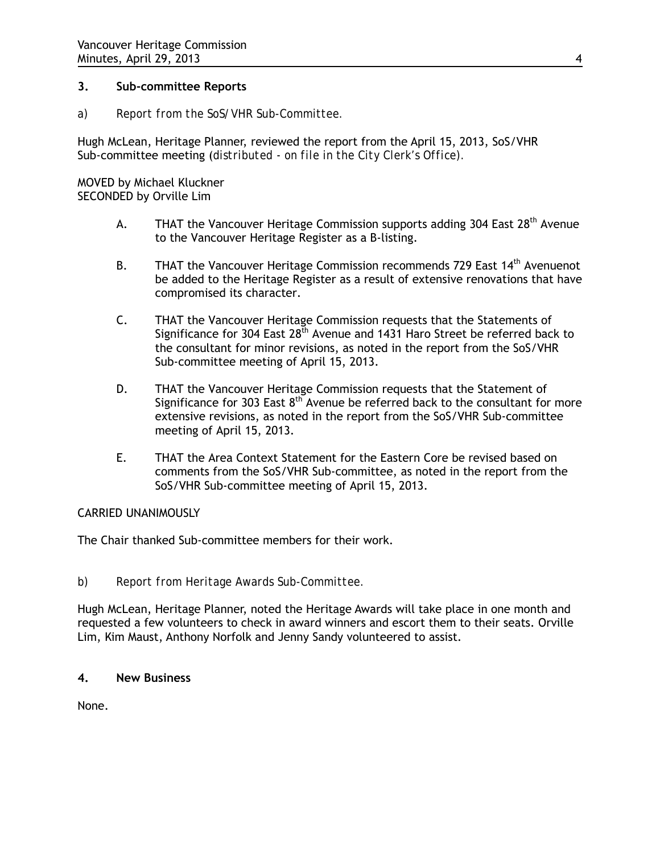## **3. Sub-committee Reports**

*a) Report from the SoS/VHR Sub-Committee.* 

Hugh McLean, Heritage Planner, reviewed the report from the April 15, 2013, SoS/VHR Sub-committee meeting (*distributed* - *on file in the City Clerk's Office).* 

MOVED by Michael Kluckner SECONDED by Orville Lim

- A. THAT the Vancouver Heritage Commission supports adding 304 East  $28<sup>th</sup>$  Avenue to the Vancouver Heritage Register as a B-listing.
- B. THAT the Vancouver Heritage Commission recommends 729 East  $14<sup>th</sup>$  Avenuenot be added to the Heritage Register as a result of extensive renovations that have compromised its character.
- C. THAT the Vancouver Heritage Commission requests that the Statements of Significance for 304 East 28<sup>th</sup> Avenue and 1431 Haro Street be referred back to the consultant for minor revisions, as noted in the report from the SoS/VHR Sub-committee meeting of April 15, 2013.
- D. THAT the Vancouver Heritage Commission requests that the Statement of Significance for 303 East  $8<sup>th</sup>$  Avenue be referred back to the consultant for more extensive revisions, as noted in the report from the SoS/VHR Sub-committee meeting of April 15, 2013.
- E. THAT the Area Context Statement for the Eastern Core be revised based on comments from the SoS/VHR Sub-committee, as noted in the report from the SoS/VHR Sub-committee meeting of April 15, 2013.

# CARRIED UNANIMOUSLY

The Chair thanked Sub-committee members for their work.

#### *b) Report from Heritage Awards Sub-Committee.*

Hugh McLean, Heritage Planner, noted the Heritage Awards will take place in one month and requested a few volunteers to check in award winners and escort them to their seats. Orville Lim, Kim Maust, Anthony Norfolk and Jenny Sandy volunteered to assist.

### **4. New Business**

None.